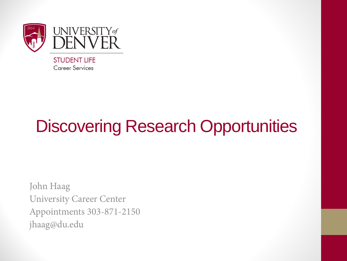

### Discovering Research Opportunities

John Haag University Career Center Appointments 303-871-2150 jhaag@du.edu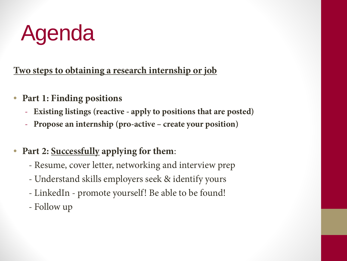# Agenda

**Two steps to obtaining a research internship or job**

- **Part 1: Finding positions**
	- **Existing listings (reactive - apply to positions that are posted)**
	- **Propose an internship (pro-active – create your position)**
- **Part 2: Successfully applying for them**:
	- Resume, cover letter, networking and interview prep
	- Understand skills employers seek & identify yours
	- LinkedIn promote yourself! Be able to be found!
	- Follow up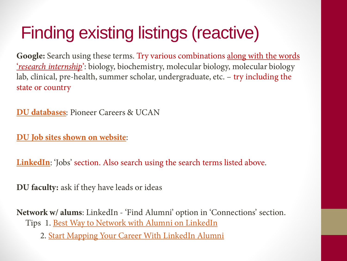### Finding existing listings (reactive)

**Google:** Search using these terms. Try various combinations along with the words '*research internship*': biology, biochemistry, molecular biology, molecular biology lab, clinical, pre-health, summer scholar, undergraduate, etc. – try including the state or country

**[DU databases](http://www.du.edu/career)**: Pioneer Careers & UCAN

**[DU Job sites shown on website](http://www.du.edu/career/jobs_internships/jobsearch.html)**:

**[LinkedIn](http://www.linkedin.com/)**: 'Jobs' section. Also search using the search terms listed above.

**DU faculty:** ask if they have leads or ideas

**Network w/ alums**: LinkedIn - 'Find Alumni' option in 'Connections' section. Tips 1. Best Way to Network with Alumni on LinkedIn

2. [Start Mapping Your Career With LinkedIn Alumni](http://blog.linkedin.com/2013/01/30/start-mapping-your-career-with-linkedin-alumni/)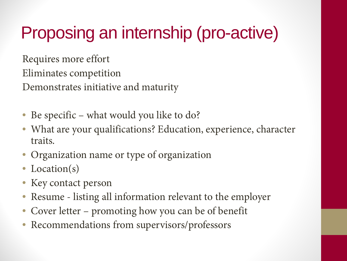### Proposing an internship (pro-active)

Requires more effort

Eliminates competition

Demonstrates initiative and maturity

- Be specific what would you like to do?
- What are your qualifications? Education, experience, character traits.
- Organization name or type of organization
- Location(s)
- Key contact person
- Resume listing all information relevant to the employer
- Cover letter promoting how you can be of benefit
- Recommendations from supervisors/professors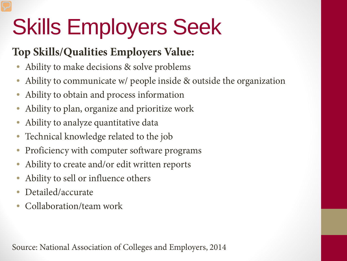# Skills Employers Seek

#### **Top Skills/Qualities Employers Value:**

- Ability to make decisions & solve problems
- Ability to communicate w/ people inside & outside the organization
- Ability to obtain and process information
- Ability to plan, organize and prioritize work
- Ability to analyze quantitative data
- Technical knowledge related to the job
- Proficiency with computer software programs
- Ability to create and/or edit written reports
- Ability to sell or influence others
- Detailed/accurate
- Collaboration/team work

Source: National Association of Colleges and Employers, 2014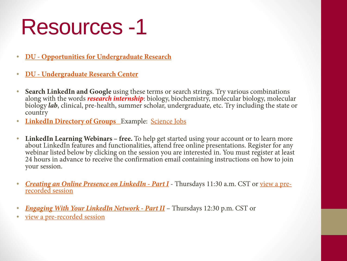- **[D](http://www.du.edu/urc/)U - [Opportunities for Undergraduate Research](http://www.du.edu/explore/researchandinnovation/undergraduateresearch.html)**
- **DU - [Undergraduate Research Center](http://www.du.edu/urc/)**
- Search LinkedIn and Google using these terms or search strings. Try various combinations<br>along with the words *research internship*: biology, biochemistry, molecular biology, molecular<br>biology *lab*, clinical, pre-health country
- [•](https://www.linkedin.com/groups/Science-Jobs-2119455) **[LinkedIn Directory of Groups](https://www.linkedin.com/directory/groups/)** [E](https://www.linkedin.com/directory/groups/)xample: [Science Jobs](https://www.linkedin.com/groups/Science-Jobs-2119455)
- LinkedIn Learning Webinars free. To help get started using your account or to learn more about LinkedIn features and functionalities, attend free online presentations. Register for any webinar listed below by clicking 24 hours in advance to receive the confirmation email containing instructions on how to join [y](https://linkedineducation.webex.com/linkedineducation/k2/j.php?MTID=tcd849983562c62f9a98676e5dd538233)our session.
- *[Creating an Online Presence on LinkedIn -](https://linkedineducation.webex.com/linkedineducation/k2/j.php?MTID=tcd849983562c62f9a98676e5dd538233) [Part I](https://linkedineducation.webex.com/linkedineducation/k2/j.php?MTID=tcd849983562c62f9a98676e5dd538233)* Thursdays 11:30 a.m. CST or <u>view a pre-</u> [recorded session](https://www.youtube.com/watch?v=BYLa-s2v7gk)
- *[Engaging With Your LinkedIn Network -](https://linkedineducation.webex.com/linkedineducation/k2/j.php?MTID=tc48560ee99f595162a82a331b951c6c8) [Part II](https://linkedineducation.webex.com/linkedineducation/k2/j.php?MTID=tc48560ee99f595162a82a331b951c6c8)* Thursdays 12:30 p.m. CST or
- [view a pre-recorded session](https://www.youtube.com/watch?v=BYLa-s2v7gk)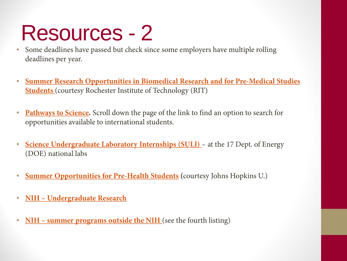- Some deadlines have passed but check since some employers have multiple rolling deadlines per year.
- **[Summer Research Opportunities in Biomedical Research and for Pre-Medical Studies](http://people.rit.edu/gtfsbi/Symp/premed.htm)  [Students](http://people.rit.edu/gtfsbi/Symp/premed.htm)** (courtesy Rochester Institute of Technology (RIT)
- **[Pathways to Science](http://www.pathwaystoscience.org/Undergrads.aspx).** Scroll down the page of the link to find an option to search for opportunities available to international students.
- **[Science Undergraduate Laboratory Internships \(SULI\)](http://science.energy.gov/wdts/suli/)** [–](http://science.energy.gov/wdts/suli/) at the 17 Dept. of Energy (DOE) national labs
- **[Summer Opportunities for Pre-Health Students](http://web.jhu.edu/prepro/health/summer_opportunities.html) (**courtesy Johns Hopkins U.)
- **NIH – [Undergraduate Research](http://search.nih.gov/search?utf8=%E2%9C%93&affiliate=nih&query=research+undergraduate&commit.x=0&commit.y=0)**
- **NIH [summer programs outside the NIH](https://www.training.nih.gov/summer_programs_outside_the_nih)** (see the fourth listing)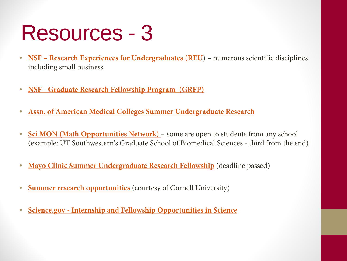- **NSF [Research Experiences for Undergraduates \(REU\)](http://www.nsf.gov/crssprgm/reu/reu_search.jsp)** numerous scientific disciplines including small business
- **NSF - [Graduate Research Fellowship Program \(GRFP\)](http://www.nsf.gov/funding/pgm_summ.jsp?pims_id=6201&org=NSF)**
- **[Assn. of American Medical Colleges Summer Undergraduate Research](https://www.aamc.org/members/great/61052/great_summerlinks.html)**
- **Sci [MON \(Math Opportunities Network\)](http://www.hunter.cuny.edu/scimon/research/summerresearch)** [–](http://www.hunter.cuny.edu/scimon/research/summerresearch) some are open to students from any school (example: UT Southwestern's Graduate School of Biomedical Sciences - third from the end)
- **[Mayo Clinic Summer Undergraduate Research Fellowship](http://www.mayo.edu/mgs/programs/summer-undergraduate-research-fellowship)** (deadline passed)
- **Summer research opportunities** (courtesy of Cornell University)
- **Science.gov - [Internship and Fellowship Opportunities in Science](https://www.science.gov/internships/undergrad.html)**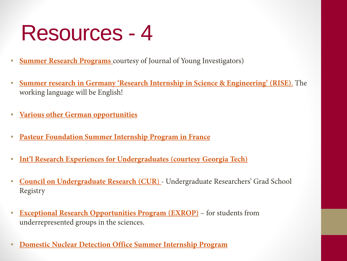- **[Summer Research Programs](http://www.jyi.org/summer-research-programs/)** courtesy of Journal of Young Investigators)
- **[Summer research in Germany](https://www.daad.org/rise) ['Research Internship in Science & Engineering' \(RISE\)](https://www.daad.org/rise)**[.](https://www.daad.org/rise) The working language will be English!
- **[Various other German opportunities](http://www.germaninnovation.org/resources/undergraduates)**
- **[Pasteur Foundation Summer Internship Program in France](http://www.pasteurfoundation.org/scientific-careers/summer-internship)**
- **[Int'l Research Experiences for Undergraduates \(courtesy Georgia Tech\)](http://www.undergradresearch.gatech.edu/students/research-opportunities/international/search)**
- **[Council on Undergraduate Research \(CUR](http://www.cur.org/projects_and_services/registry/students/)**[\)](http://www.cur.org/projects_and_services/registry/students/)  Undergraduate Researchers' Grad School Registry
- **[Exceptional Research Opportunities Program \(EXROP\)](http://www.hhmi.org/programs/exceptional-research-opportunities-program)** for students from underrepresented groups in the sciences.
- **[Domestic Nuclear Detection Office Summer Internship Program](https://www.zintellect.com/Posting/details/824)**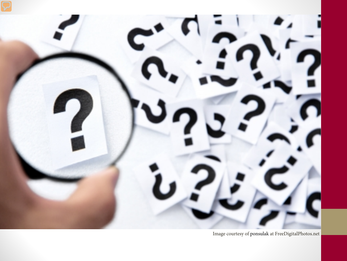

Image courtesy of ponsulak at FreeDigitalPhotos.net